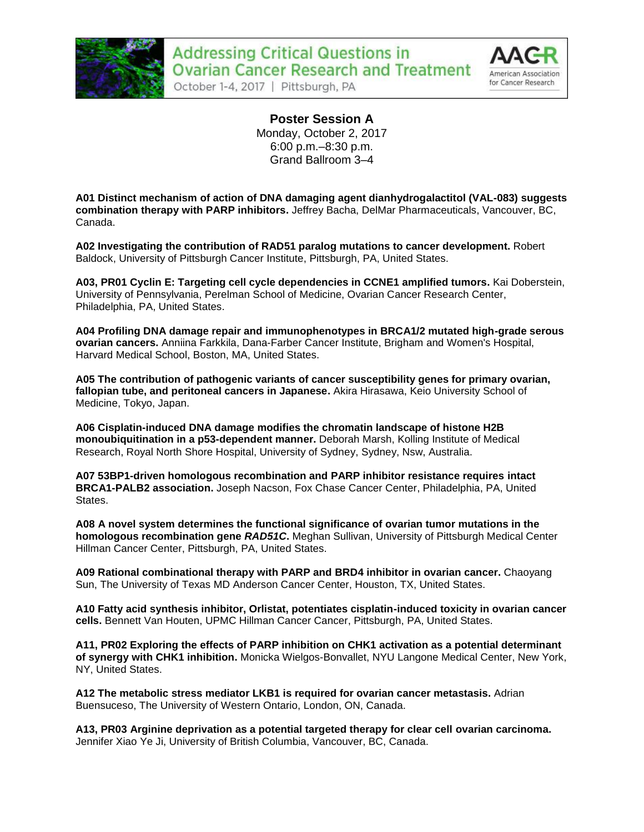



**Poster Session A** Monday, October 2, 2017 6:00 p.m.–8:30 p.m. Grand Ballroom 3–4

**A01 Distinct mechanism of action of DNA damaging agent dianhydrogalactitol (VAL-083) suggests combination therapy with PARP inhibitors.** Jeffrey Bacha, DelMar Pharmaceuticals, Vancouver, BC, Canada.

**A02 Investigating the contribution of RAD51 paralog mutations to cancer development.** Robert Baldock, University of Pittsburgh Cancer Institute, Pittsburgh, PA, United States.

**A03, PR01 Cyclin E: Targeting cell cycle dependencies in CCNE1 amplified tumors.** Kai Doberstein, University of Pennsylvania, Perelman School of Medicine, Ovarian Cancer Research Center, Philadelphia, PA, United States.

**A04 Profiling DNA damage repair and immunophenotypes in BRCA1/2 mutated high-grade serous ovarian cancers.** Anniina Farkkila, Dana-Farber Cancer Institute, Brigham and Women's Hospital, Harvard Medical School, Boston, MA, United States.

**A05 The contribution of pathogenic variants of cancer susceptibility genes for primary ovarian, fallopian tube, and peritoneal cancers in Japanese.** Akira Hirasawa, Keio University School of Medicine, Tokyo, Japan.

**A06 Cisplatin-induced DNA damage modifies the chromatin landscape of histone H2B monoubiquitination in a p53-dependent manner.** Deborah Marsh, Kolling Institute of Medical Research, Royal North Shore Hospital, University of Sydney, Sydney, Nsw, Australia.

**A07 53BP1-driven homologous recombination and PARP inhibitor resistance requires intact BRCA1-PALB2 association.** Joseph Nacson, Fox Chase Cancer Center, Philadelphia, PA, United **States** 

**A08 A novel system determines the functional significance of ovarian tumor mutations in the homologous recombination gene** *RAD51C***.** Meghan Sullivan, University of Pittsburgh Medical Center Hillman Cancer Center, Pittsburgh, PA, United States.

**A09 Rational combinational therapy with PARP and BRD4 inhibitor in ovarian cancer.** Chaoyang Sun, The University of Texas MD Anderson Cancer Center, Houston, TX, United States.

**A10 Fatty acid synthesis inhibitor, Orlistat, potentiates cisplatin-induced toxicity in ovarian cancer cells.** Bennett Van Houten, UPMC Hillman Cancer Cancer, Pittsburgh, PA, United States.

**A11, PR02 Exploring the effects of PARP inhibition on CHK1 activation as a potential determinant of synergy with CHK1 inhibition.** Monicka Wielgos-Bonvallet, NYU Langone Medical Center, New York, NY, United States.

**A12 The metabolic stress mediator LKB1 is required for ovarian cancer metastasis.** Adrian Buensuceso, The University of Western Ontario, London, ON, Canada.

**A13, PR03 Arginine deprivation as a potential targeted therapy for clear cell ovarian carcinoma.**  Jennifer Xiao Ye Ji, University of British Columbia, Vancouver, BC, Canada.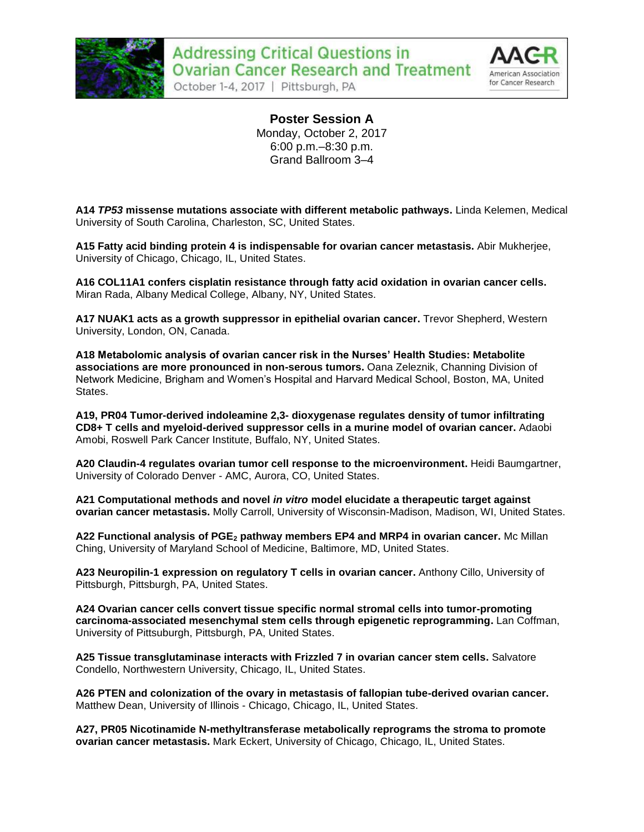



**Poster Session A** Monday, October 2, 2017 6:00 p.m.–8:30 p.m. Grand Ballroom 3–4

**A14** *TP53* **missense mutations associate with different metabolic pathways.** Linda Kelemen, Medical University of South Carolina, Charleston, SC, United States.

**A15 Fatty acid binding protein 4 is indispensable for ovarian cancer metastasis.** Abir Mukherjee, University of Chicago, Chicago, IL, United States.

**A16 COL11A1 confers cisplatin resistance through fatty acid oxidation in ovarian cancer cells.**  Miran Rada, Albany Medical College, Albany, NY, United States.

**A17 NUAK1 acts as a growth suppressor in epithelial ovarian cancer.** Trevor Shepherd, Western University, London, ON, Canada.

**A18 Metabolomic analysis of ovarian cancer risk in the Nurses' Health Studies: Metabolite associations are more pronounced in non-serous tumors.** Oana Zeleznik, Channing Division of Network Medicine, Brigham and Women's Hospital and Harvard Medical School, Boston, MA, United States.

**A19, PR04 Tumor-derived indoleamine 2,3- dioxygenase regulates density of tumor infiltrating CD8+ T cells and myeloid-derived suppressor cells in a murine model of ovarian cancer.** Adaobi Amobi, Roswell Park Cancer Institute, Buffalo, NY, United States.

**A20 Claudin-4 regulates ovarian tumor cell response to the microenvironment.** Heidi Baumgartner, University of Colorado Denver - AMC, Aurora, CO, United States.

**A21 Computational methods and novel** *in vitro* **model elucidate a therapeutic target against ovarian cancer metastasis.** Molly Carroll, University of Wisconsin-Madison, Madison, WI, United States.

**A22 Functional analysis of PGE<sup>2</sup> pathway members EP4 and MRP4 in ovarian cancer.** Mc Millan Ching, University of Maryland School of Medicine, Baltimore, MD, United States.

**A23 Neuropilin-1 expression on regulatory T cells in ovarian cancer.** Anthony Cillo, University of Pittsburgh, Pittsburgh, PA, United States.

**A24 Ovarian cancer cells convert tissue specific normal stromal cells into tumor-promoting carcinoma-associated mesenchymal stem cells through epigenetic reprogramming.** Lan Coffman, University of Pittsuburgh, Pittsburgh, PA, United States.

**A25 Tissue transglutaminase interacts with Frizzled 7 in ovarian cancer stem cells.** Salvatore Condello, Northwestern University, Chicago, IL, United States.

**A26 PTEN and colonization of the ovary in metastasis of fallopian tube-derived ovarian cancer.**  Matthew Dean, University of Illinois - Chicago, Chicago, IL, United States.

**A27, PR05 Nicotinamide N-methyltransferase metabolically reprograms the stroma to promote ovarian cancer metastasis.** Mark Eckert, University of Chicago, Chicago, IL, United States.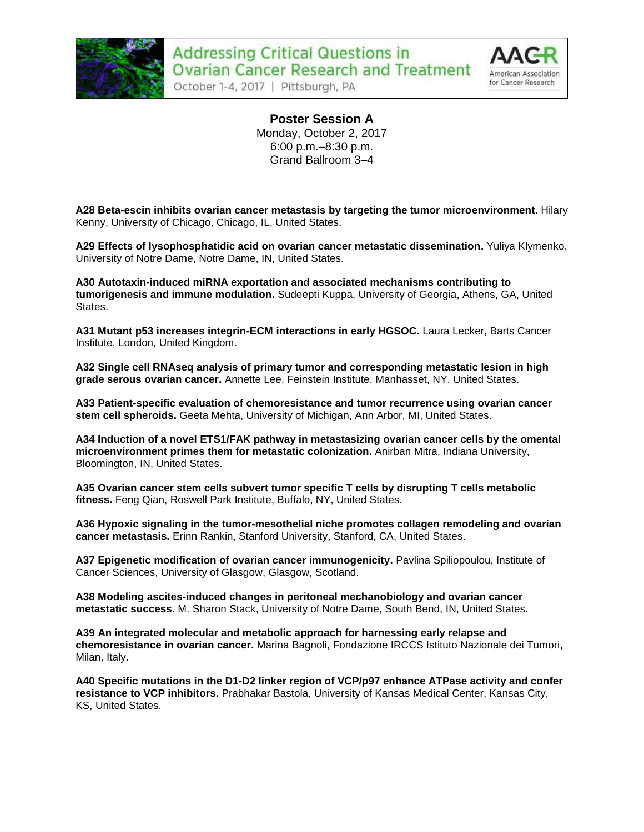



**Poster Session A** Monday, October 2, 2017 6:00 p.m.–8:30 p.m. Grand Ballroom 3–4

**A28 Beta-escin inhibits ovarian cancer metastasis by targeting the tumor microenvironment.** Hilary Kenny, University of Chicago, Chicago, IL, United States.

**A29 Effects of lysophosphatidic acid on ovarian cancer metastatic dissemination.** Yuliya Klymenko, University of Notre Dame, Notre Dame, IN, United States.

**A30 Autotaxin-induced miRNA exportation and associated mechanisms contributing to tumorigenesis and immune modulation.** Sudeepti Kuppa, University of Georgia, Athens, GA, United States.

**A31 Mutant p53 increases integrin-ECM interactions in early HGSOC.** Laura Lecker, Barts Cancer Institute, London, United Kingdom.

**A32 Single cell RNAseq analysis of primary tumor and corresponding metastatic lesion in high grade serous ovarian cancer.** Annette Lee, Feinstein Institute, Manhasset, NY, United States.

**A33 Patient-specific evaluation of chemoresistance and tumor recurrence using ovarian cancer stem cell spheroids.** Geeta Mehta, University of Michigan, Ann Arbor, MI, United States.

**A34 Induction of a novel ETS1/FAK pathway in metastasizing ovarian cancer cells by the omental microenvironment primes them for metastatic colonization.** Anirban Mitra, Indiana University, Bloomington, IN, United States.

**A35 Ovarian cancer stem cells subvert tumor specific T cells by disrupting T cells metabolic fitness.** Feng Qian, Roswell Park Institute, Buffalo, NY, United States.

**A36 Hypoxic signaling in the tumor-mesothelial niche promotes collagen remodeling and ovarian cancer metastasis.** Erinn Rankin, Stanford University, Stanford, CA, United States.

**A37 Epigenetic modification of ovarian cancer immunogenicity.** Pavlina Spiliopoulou, Institute of Cancer Sciences, University of Glasgow, Glasgow, Scotland.

**A38 Modeling ascites-induced changes in peritoneal mechanobiology and ovarian cancer metastatic success.** M. Sharon Stack, University of Notre Dame, South Bend, IN, United States.

**A39 An integrated molecular and metabolic approach for harnessing early relapse and chemoresistance in ovarian cancer.** Marina Bagnoli, Fondazione IRCCS Istituto Nazionale dei Tumori, Milan, Italy.

**A40 Specific mutations in the D1-D2 linker region of VCP/p97 enhance ATPase activity and confer resistance to VCP inhibitors.** Prabhakar Bastola, University of Kansas Medical Center, Kansas City, KS, United States.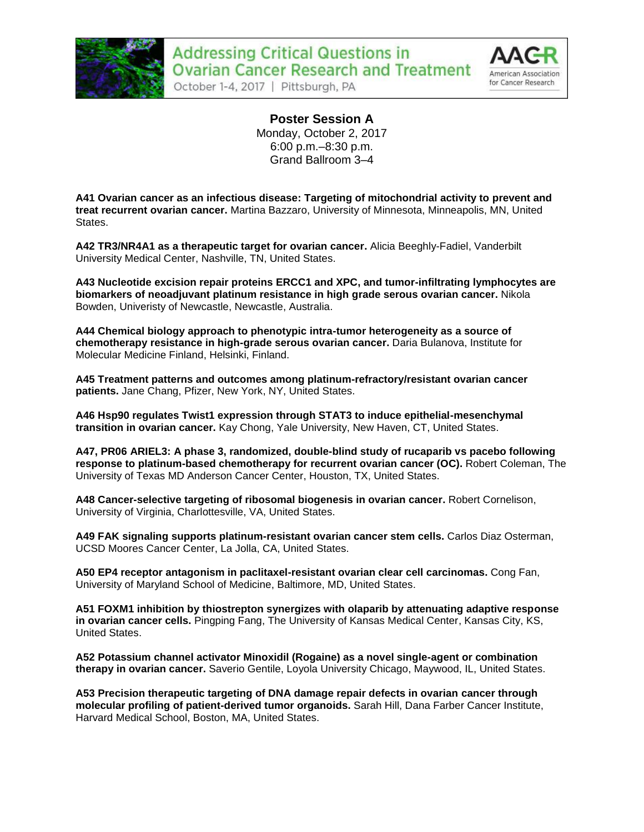



**Poster Session A** Monday, October 2, 2017 6:00 p.m.–8:30 p.m. Grand Ballroom 3–4

**A41 Ovarian cancer as an infectious disease: Targeting of mitochondrial activity to prevent and treat recurrent ovarian cancer.** Martina Bazzaro, University of Minnesota, Minneapolis, MN, United States.

**A42 TR3/NR4A1 as a therapeutic target for ovarian cancer.** Alicia Beeghly-Fadiel, Vanderbilt University Medical Center, Nashville, TN, United States.

**A43 Nucleotide excision repair proteins ERCC1 and XPC, and tumor-infiltrating lymphocytes are biomarkers of neoadjuvant platinum resistance in high grade serous ovarian cancer.** Nikola Bowden, Univeristy of Newcastle, Newcastle, Australia.

**A44 Chemical biology approach to phenotypic intra-tumor heterogeneity as a source of chemotherapy resistance in high-grade serous ovarian cancer.** Daria Bulanova, Institute for Molecular Medicine Finland, Helsinki, Finland.

**A45 Treatment patterns and outcomes among platinum-refractory/resistant ovarian cancer patients.** Jane Chang, Pfizer, New York, NY, United States.

**A46 Hsp90 regulates Twist1 expression through STAT3 to induce epithelial-mesenchymal transition in ovarian cancer.** Kay Chong, Yale University, New Haven, CT, United States.

**A47, PR06 ARIEL3: A phase 3, randomized, double-blind study of rucaparib vs pacebo following response to platinum-based chemotherapy for recurrent ovarian cancer (OC).** Robert Coleman, The University of Texas MD Anderson Cancer Center, Houston, TX, United States.

**A48 Cancer-selective targeting of ribosomal biogenesis in ovarian cancer.** Robert Cornelison, University of Virginia, Charlottesville, VA, United States.

**A49 FAK signaling supports platinum-resistant ovarian cancer stem cells.** Carlos Diaz Osterman, UCSD Moores Cancer Center, La Jolla, CA, United States.

**A50 EP4 receptor antagonism in paclitaxel-resistant ovarian clear cell carcinomas.** Cong Fan, University of Maryland School of Medicine, Baltimore, MD, United States.

**A51 FOXM1 inhibition by thiostrepton synergizes with olaparib by attenuating adaptive response in ovarian cancer cells.** Pingping Fang, The University of Kansas Medical Center, Kansas City, KS, United States.

**A52 Potassium channel activator Minoxidil (Rogaine) as a novel single-agent or combination therapy in ovarian cancer.** Saverio Gentile, Loyola University Chicago, Maywood, IL, United States.

**A53 Precision therapeutic targeting of DNA damage repair defects in ovarian cancer through molecular profiling of patient-derived tumor organoids.** Sarah Hill, Dana Farber Cancer Institute, Harvard Medical School, Boston, MA, United States.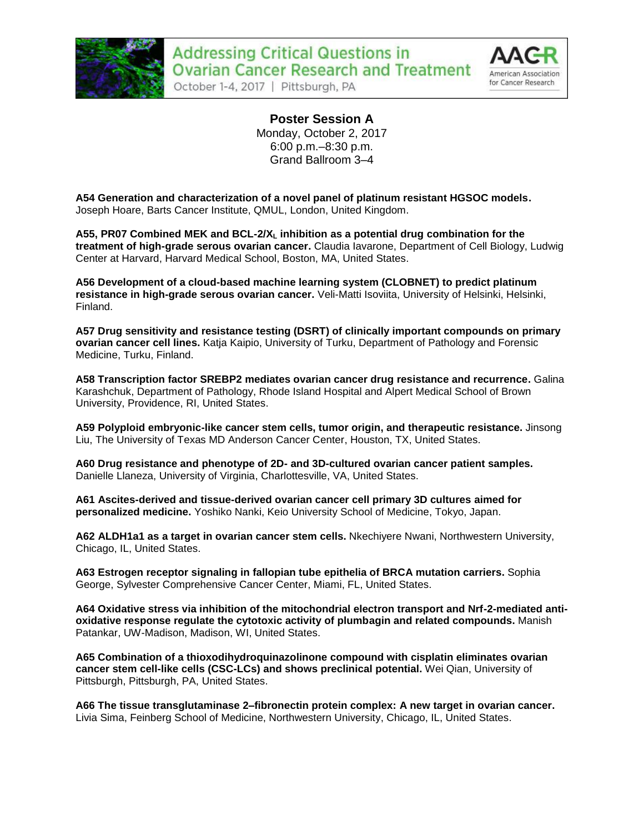



**Poster Session A** Monday, October 2, 2017 6:00 p.m.–8:30 p.m. Grand Ballroom 3–4

**A54 Generation and characterization of a novel panel of platinum resistant HGSOC models.**  Joseph Hoare, Barts Cancer Institute, QMUL, London, United Kingdom.

**A55, PR07 Combined MEK and BCL-2/X<sup>L</sup> inhibition as a potential drug combination for the treatment of high-grade serous ovarian cancer.** Claudia Iavarone, Department of Cell Biology, Ludwig Center at Harvard, Harvard Medical School, Boston, MA, United States.

**A56 Development of a cloud-based machine learning system (CLOBNET) to predict platinum resistance in high-grade serous ovarian cancer.** Veli-Matti Isoviita, University of Helsinki, Helsinki, Finland.

**A57 Drug sensitivity and resistance testing (DSRT) of clinically important compounds on primary ovarian cancer cell lines.** Katja Kaipio, University of Turku, Department of Pathology and Forensic Medicine, Turku, Finland.

**A58 Transcription factor SREBP2 mediates ovarian cancer drug resistance and recurrence.** Galina Karashchuk, Department of Pathology, Rhode Island Hospital and Alpert Medical School of Brown University, Providence, RI, United States.

**A59 Polyploid embryonic-like cancer stem cells, tumor origin, and therapeutic resistance.** Jinsong Liu, The University of Texas MD Anderson Cancer Center, Houston, TX, United States.

**A60 Drug resistance and phenotype of 2D- and 3D-cultured ovarian cancer patient samples.**  Danielle Llaneza, University of Virginia, Charlottesville, VA, United States.

**A61 Ascites-derived and tissue-derived ovarian cancer cell primary 3D cultures aimed for personalized medicine.** Yoshiko Nanki, Keio University School of Medicine, Tokyo, Japan.

**A62 ALDH1a1 as a target in ovarian cancer stem cells.** Nkechiyere Nwani, Northwestern University, Chicago, IL, United States.

**A63 Estrogen receptor signaling in fallopian tube epithelia of BRCA mutation carriers.** Sophia George, Sylvester Comprehensive Cancer Center, Miami, FL, United States.

**A64 Oxidative stress via inhibition of the mitochondrial electron transport and Nrf-2-mediated antioxidative response regulate the cytotoxic activity of plumbagin and related compounds.** Manish Patankar, UW-Madison, Madison, WI, United States.

**A65 Combination of a thioxodihydroquinazolinone compound with cisplatin eliminates ovarian cancer stem cell-like cells (CSC-LCs) and shows preclinical potential.** Wei Qian, University of Pittsburgh, Pittsburgh, PA, United States.

**A66 The tissue transglutaminase 2–fibronectin protein complex: A new target in ovarian cancer.**  Livia Sima, Feinberg School of Medicine, Northwestern University, Chicago, IL, United States.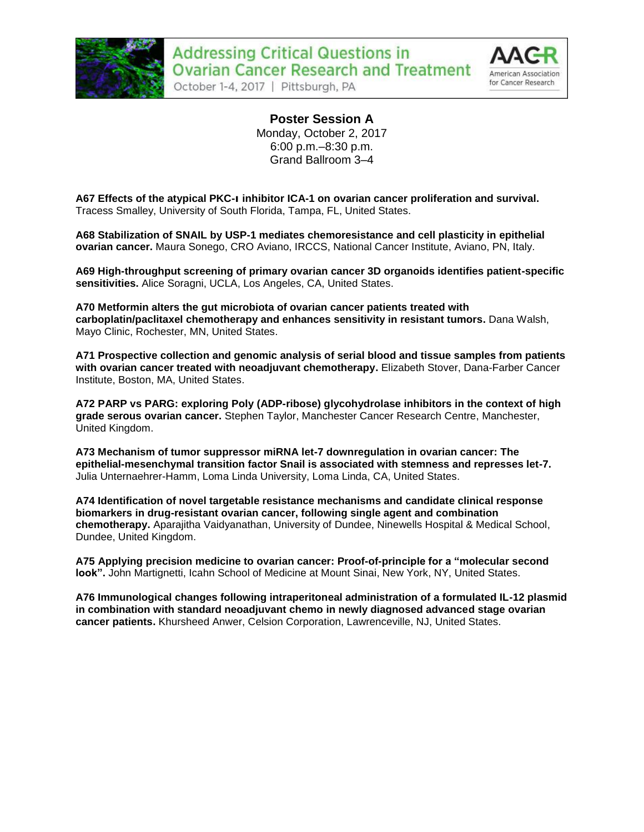



**Poster Session A** Monday, October 2, 2017 6:00 p.m.–8:30 p.m. Grand Ballroom 3–4

**A67 Effects of the atypical PKC-ι inhibitor ICA-1 on ovarian cancer proliferation and survival.**  Tracess Smalley, University of South Florida, Tampa, FL, United States.

**A68 Stabilization of SNAIL by USP-1 mediates chemoresistance and cell plasticity in epithelial ovarian cancer.** Maura Sonego, CRO Aviano, IRCCS, National Cancer Institute, Aviano, PN, Italy.

**A69 High-throughput screening of primary ovarian cancer 3D organoids identifies patient-specific sensitivities.** Alice Soragni, UCLA, Los Angeles, CA, United States.

**A70 Metformin alters the gut microbiota of ovarian cancer patients treated with carboplatin/paclitaxel chemotherapy and enhances sensitivity in resistant tumors.** Dana Walsh, Mayo Clinic, Rochester, MN, United States.

**A71 Prospective collection and genomic analysis of serial blood and tissue samples from patients with ovarian cancer treated with neoadjuvant chemotherapy.** Elizabeth Stover, Dana-Farber Cancer Institute, Boston, MA, United States.

**A72 PARP vs PARG: exploring Poly (ADP-ribose) glycohydrolase inhibitors in the context of high grade serous ovarian cancer.** Stephen Taylor, Manchester Cancer Research Centre, Manchester, United Kingdom.

**A73 Mechanism of tumor suppressor miRNA let-7 downregulation in ovarian cancer: The epithelial-mesenchymal transition factor Snail is associated with stemness and represses let-7.**  Julia Unternaehrer-Hamm, Loma Linda University, Loma Linda, CA, United States.

**A74 Identification of novel targetable resistance mechanisms and candidate clinical response biomarkers in drug-resistant ovarian cancer, following single agent and combination chemotherapy.** Aparajitha Vaidyanathan, University of Dundee, Ninewells Hospital & Medical School, Dundee, United Kingdom.

**A75 Applying precision medicine to ovarian cancer: Proof-of-principle for a "molecular second look".** John Martignetti, Icahn School of Medicine at Mount Sinai, New York, NY, United States.

**A76 Immunological changes following intraperitoneal administration of a formulated IL-12 plasmid in combination with standard neoadjuvant chemo in newly diagnosed advanced stage ovarian cancer patients.** Khursheed Anwer, Celsion Corporation, Lawrenceville, NJ, United States.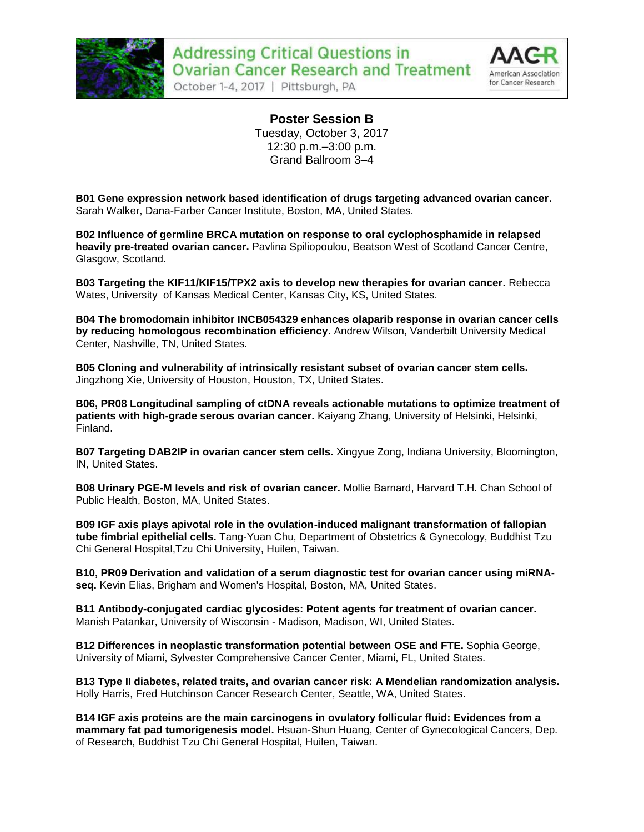



**Poster Session B** Tuesday, October 3, 2017 12:30 p.m.–3:00 p.m. Grand Ballroom 3–4

**B01 Gene expression network based identification of drugs targeting advanced ovarian cancer.**  Sarah Walker, Dana-Farber Cancer Institute, Boston, MA, United States.

**B02 Influence of germline BRCA mutation on response to oral cyclophosphamide in relapsed heavily pre-treated ovarian cancer.** Pavlina Spiliopoulou, Beatson West of Scotland Cancer Centre, Glasgow, Scotland.

**B03 Targeting the KIF11/KIF15/TPX2 axis to develop new therapies for ovarian cancer.** Rebecca Wates, University of Kansas Medical Center, Kansas City, KS, United States.

**B04 The bromodomain inhibitor INCB054329 enhances olaparib response in ovarian cancer cells by reducing homologous recombination efficiency.** Andrew Wilson, Vanderbilt University Medical Center, Nashville, TN, United States.

**B05 Cloning and vulnerability of intrinsically resistant subset of ovarian cancer stem cells.**  Jingzhong Xie, University of Houston, Houston, TX, United States.

**B06, PR08 Longitudinal sampling of ctDNA reveals actionable mutations to optimize treatment of patients with high-grade serous ovarian cancer.** Kaiyang Zhang, University of Helsinki, Helsinki, Finland.

**B07 Targeting DAB2IP in ovarian cancer stem cells.** Xingyue Zong, Indiana University, Bloomington, IN, United States.

**B08 Urinary PGE-M levels and risk of ovarian cancer.** Mollie Barnard, Harvard T.H. Chan School of Public Health, Boston, MA, United States.

**B09 IGF axis plays apivotal role in the ovulation-induced malignant transformation of fallopian tube fimbrial epithelial cells.** Tang-Yuan Chu, Department of Obstetrics & Gynecology, Buddhist Tzu Chi General Hospital,Tzu Chi University, Huilen, Taiwan.

**B10, PR09 Derivation and validation of a serum diagnostic test for ovarian cancer using miRNAseq.** Kevin Elias, Brigham and Women's Hospital, Boston, MA, United States.

**B11 Antibody-conjugated cardiac glycosides: Potent agents for treatment of ovarian cancer.**  Manish Patankar, University of Wisconsin - Madison, Madison, WI, United States.

**B12 Differences in neoplastic transformation potential between OSE and FTE.** Sophia George, University of Miami, Sylvester Comprehensive Cancer Center, Miami, FL, United States.

**B13 Type II diabetes, related traits, and ovarian cancer risk: A Mendelian randomization analysis.**  Holly Harris, Fred Hutchinson Cancer Research Center, Seattle, WA, United States.

**B14 IGF axis proteins are the main carcinogens in ovulatory follicular fluid: Evidences from a mammary fat pad tumorigenesis model.** Hsuan-Shun Huang, Center of Gynecological Cancers, Dep. of Research, Buddhist Tzu Chi General Hospital, Huilen, Taiwan.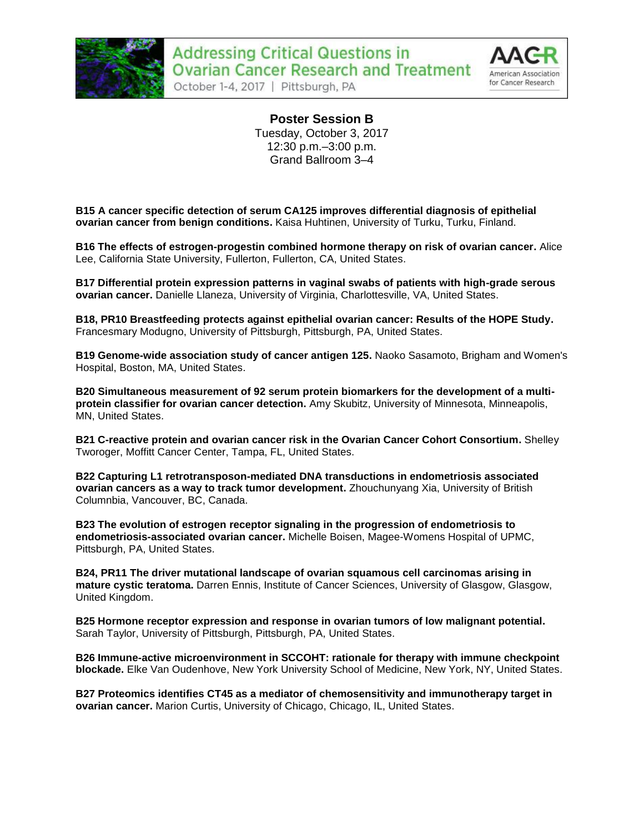



**Poster Session B** Tuesday, October 3, 2017 12:30 p.m.–3:00 p.m. Grand Ballroom 3–4

**B15 A cancer specific detection of serum CA125 improves differential diagnosis of epithelial ovarian cancer from benign conditions.** Kaisa Huhtinen, University of Turku, Turku, Finland.

**B16 The effects of estrogen-progestin combined hormone therapy on risk of ovarian cancer.** Alice Lee, California State University, Fullerton, Fullerton, CA, United States.

**B17 Differential protein expression patterns in vaginal swabs of patients with high-grade serous ovarian cancer.** Danielle Llaneza, University of Virginia, Charlottesville, VA, United States.

**B18, PR10 Breastfeeding protects against epithelial ovarian cancer: Results of the HOPE Study.**  Francesmary Modugno, University of Pittsburgh, Pittsburgh, PA, United States.

**B19 Genome-wide association study of cancer antigen 125.** Naoko Sasamoto, Brigham and Women's Hospital, Boston, MA, United States.

**B20 Simultaneous measurement of 92 serum protein biomarkers for the development of a multiprotein classifier for ovarian cancer detection.** Amy Skubitz, University of Minnesota, Minneapolis, MN, United States.

**B21 C-reactive protein and ovarian cancer risk in the Ovarian Cancer Cohort Consortium.** Shelley Tworoger, Moffitt Cancer Center, Tampa, FL, United States.

**B22 Capturing L1 retrotransposon-mediated DNA transductions in endometriosis associated ovarian cancers as a way to track tumor development.** Zhouchunyang Xia, University of British Columnbia, Vancouver, BC, Canada.

**B23 The evolution of estrogen receptor signaling in the progression of endometriosis to endometriosis-associated ovarian cancer.** Michelle Boisen, Magee-Womens Hospital of UPMC, Pittsburgh, PA, United States.

**B24, PR11 The driver mutational landscape of ovarian squamous cell carcinomas arising in mature cystic teratoma.** Darren Ennis, Institute of Cancer Sciences, University of Glasgow, Glasgow, United Kingdom.

**B25 Hormone receptor expression and response in ovarian tumors of low malignant potential.**  Sarah Taylor, University of Pittsburgh, Pittsburgh, PA, United States.

**B26 Immune-active microenvironment in SCCOHT: rationale for therapy with immune checkpoint blockade.** Elke Van Oudenhove, New York University School of Medicine, New York, NY, United States.

**B27 Proteomics identifies CT45 as a mediator of chemosensitivity and immunotherapy target in ovarian cancer.** Marion Curtis, University of Chicago, Chicago, IL, United States.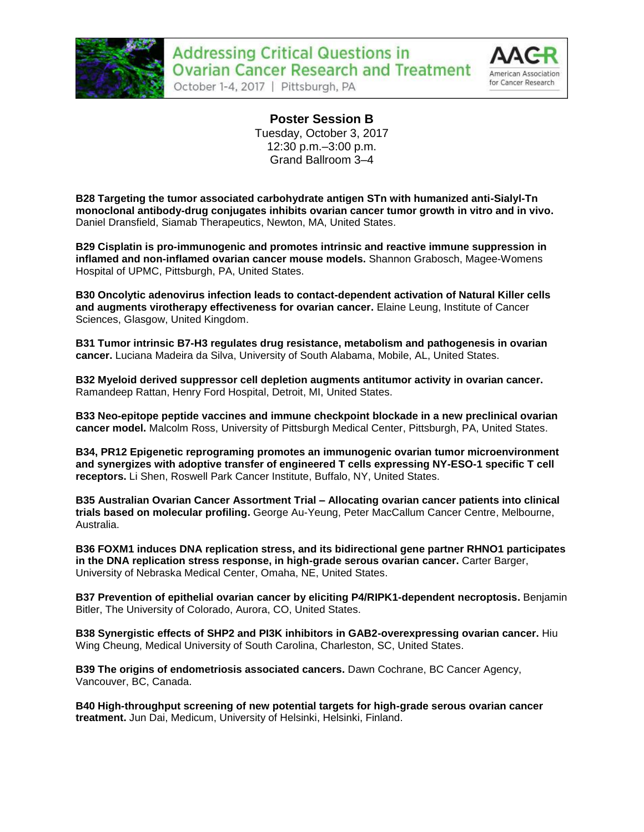



**Poster Session B** Tuesday, October 3, 2017 12:30 p.m.–3:00 p.m. Grand Ballroom 3–4

**B28 Targeting the tumor associated carbohydrate antigen STn with humanized anti-Sialyl-Tn monoclonal antibody-drug conjugates inhibits ovarian cancer tumor growth in vitro and in vivo.**  Daniel Dransfield, Siamab Therapeutics, Newton, MA, United States.

**B29 Cisplatin is pro-immunogenic and promotes intrinsic and reactive immune suppression in inflamed and non-inflamed ovarian cancer mouse models.** Shannon Grabosch, Magee-Womens Hospital of UPMC, Pittsburgh, PA, United States.

**B30 Oncolytic adenovirus infection leads to contact-dependent activation of Natural Killer cells and augments virotherapy effectiveness for ovarian cancer.** Elaine Leung, Institute of Cancer Sciences, Glasgow, United Kingdom.

**B31 Tumor intrinsic B7-H3 regulates drug resistance, metabolism and pathogenesis in ovarian cancer.** Luciana Madeira da Silva, University of South Alabama, Mobile, AL, United States.

**B32 Myeloid derived suppressor cell depletion augments antitumor activity in ovarian cancer.**  Ramandeep Rattan, Henry Ford Hospital, Detroit, MI, United States.

**B33 Neo-epitope peptide vaccines and immune checkpoint blockade in a new preclinical ovarian cancer model.** Malcolm Ross, University of Pittsburgh Medical Center, Pittsburgh, PA, United States.

**B34, PR12 Epigenetic reprograming promotes an immunogenic ovarian tumor microenvironment and synergizes with adoptive transfer of engineered T cells expressing NY-ESO-1 specific T cell receptors.** Li Shen, Roswell Park Cancer Institute, Buffalo, NY, United States.

**B35 Australian Ovarian Cancer Assortment Trial – Allocating ovarian cancer patients into clinical trials based on molecular profiling.** George Au-Yeung, Peter MacCallum Cancer Centre, Melbourne, Australia.

**B36 FOXM1 induces DNA replication stress, and its bidirectional gene partner RHNO1 participates in the DNA replication stress response, in high-grade serous ovarian cancer.** Carter Barger, University of Nebraska Medical Center, Omaha, NE, United States.

**B37 Prevention of epithelial ovarian cancer by eliciting P4/RIPK1-dependent necroptosis.** Benjamin Bitler, The University of Colorado, Aurora, CO, United States.

**B38 Synergistic effects of SHP2 and PI3K inhibitors in GAB2-overexpressing ovarian cancer.** Hiu Wing Cheung, Medical University of South Carolina, Charleston, SC, United States.

**B39 The origins of endometriosis associated cancers.** Dawn Cochrane, BC Cancer Agency, Vancouver, BC, Canada.

**B40 High-throughput screening of new potential targets for high-grade serous ovarian cancer treatment.** Jun Dai, Medicum, University of Helsinki, Helsinki, Finland.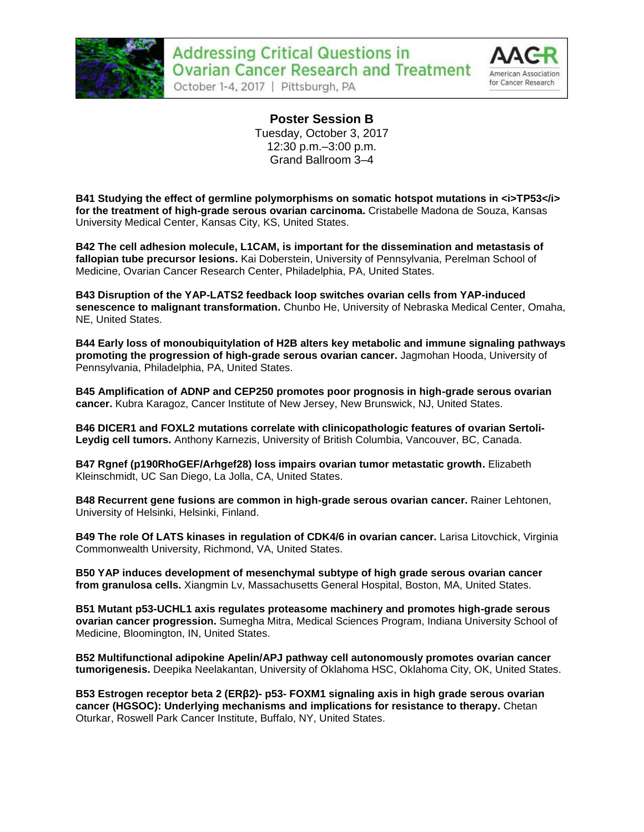

## **Addressing Critical Questions in Ovarian Cancer Research and Treatment**

October 1-4, 2017 | Pittsburgh, PA



**Poster Session B** Tuesday, October 3, 2017 12:30 p.m.–3:00 p.m. Grand Ballroom 3–4

**B41** Studying the effect of germline polymorphisms on somatic hotspot mutations in  $\lt$ i>TP53 $\lt$ i> **for the treatment of high-grade serous ovarian carcinoma.** Cristabelle Madona de Souza, Kansas University Medical Center, Kansas City, KS, United States.

**B42 The cell adhesion molecule, L1CAM, is important for the dissemination and metastasis of fallopian tube precursor lesions.** Kai Doberstein, University of Pennsylvania, Perelman School of Medicine, Ovarian Cancer Research Center, Philadelphia, PA, United States.

**B43 Disruption of the YAP-LATS2 feedback loop switches ovarian cells from YAP-induced senescence to malignant transformation.** Chunbo He, University of Nebraska Medical Center, Omaha, NE, United States.

**B44 Early loss of monoubiquitylation of H2B alters key metabolic and immune signaling pathways promoting the progression of high-grade serous ovarian cancer.** Jagmohan Hooda, University of Pennsylvania, Philadelphia, PA, United States.

**B45 Amplification of ADNP and CEP250 promotes poor prognosis in high-grade serous ovarian cancer.** Kubra Karagoz, Cancer Institute of New Jersey, New Brunswick, NJ, United States.

**B46 DICER1 and FOXL2 mutations correlate with clinicopathologic features of ovarian Sertoli-Leydig cell tumors.** Anthony Karnezis, University of British Columbia, Vancouver, BC, Canada.

**B47 Rgnef (p190RhoGEF/Arhgef28) loss impairs ovarian tumor metastatic growth.** Elizabeth Kleinschmidt, UC San Diego, La Jolla, CA, United States.

**B48 Recurrent gene fusions are common in high-grade serous ovarian cancer.** Rainer Lehtonen, University of Helsinki, Helsinki, Finland.

**B49 The role Of LATS kinases in regulation of CDK4/6 in ovarian cancer.** Larisa Litovchick, Virginia Commonwealth University, Richmond, VA, United States.

**B50 YAP induces development of mesenchymal subtype of high grade serous ovarian cancer from granulosa cells.** Xiangmin Lv, Massachusetts General Hospital, Boston, MA, United States.

**B51 Mutant p53-UCHL1 axis regulates proteasome machinery and promotes high-grade serous ovarian cancer progression.** Sumegha Mitra, Medical Sciences Program, Indiana University School of Medicine, Bloomington, IN, United States.

**B52 Multifunctional adipokine Apelin/APJ pathway cell autonomously promotes ovarian cancer tumorigenesis.** Deepika Neelakantan, University of Oklahoma HSC, Oklahoma City, OK, United States.

**B53 Estrogen receptor beta 2 (ERβ2)- p53- FOXM1 signaling axis in high grade serous ovarian cancer (HGSOC): Underlying mechanisms and implications for resistance to therapy.** Chetan Oturkar, Roswell Park Cancer Institute, Buffalo, NY, United States.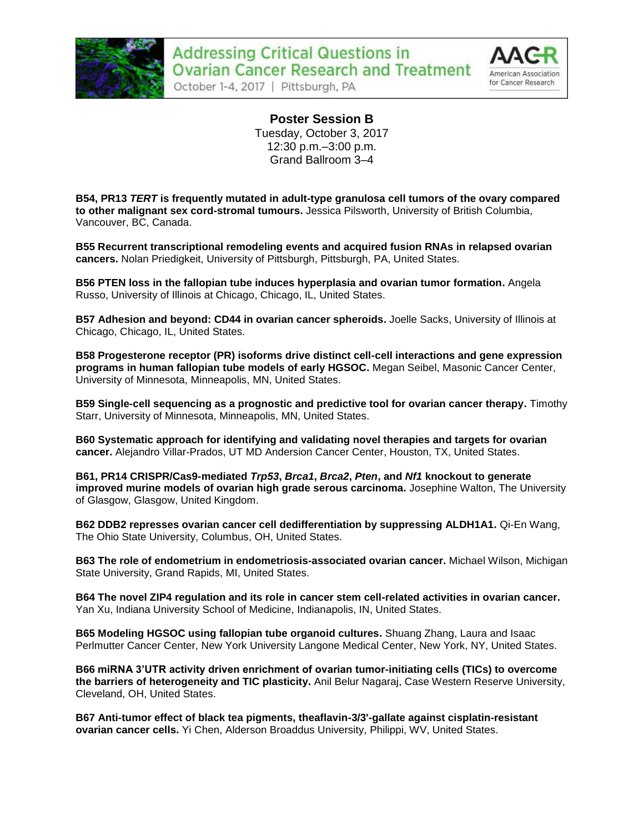



**Poster Session B** Tuesday, October 3, 2017 12:30 p.m.–3:00 p.m. Grand Ballroom 3–4

**B54, PR13** *TERT* **is frequently mutated in adult-type granulosa cell tumors of the ovary compared to other malignant sex cord-stromal tumours.** Jessica Pilsworth, University of British Columbia, Vancouver, BC, Canada.

**B55 Recurrent transcriptional remodeling events and acquired fusion RNAs in relapsed ovarian cancers.** Nolan Priedigkeit, University of Pittsburgh, Pittsburgh, PA, United States.

**B56 PTEN loss in the fallopian tube induces hyperplasia and ovarian tumor formation.** Angela Russo, University of Illinois at Chicago, Chicago, IL, United States.

**B57 Adhesion and beyond: CD44 in ovarian cancer spheroids.** Joelle Sacks, University of Illinois at Chicago, Chicago, IL, United States.

**B58 Progesterone receptor (PR) isoforms drive distinct cell-cell interactions and gene expression programs in human fallopian tube models of early HGSOC.** Megan Seibel, Masonic Cancer Center, University of Minnesota, Minneapolis, MN, United States.

**B59 Single-cell sequencing as a prognostic and predictive tool for ovarian cancer therapy.** Timothy Starr, University of Minnesota, Minneapolis, MN, United States.

**B60 Systematic approach for identifying and validating novel therapies and targets for ovarian cancer.** Alejandro Villar-Prados, UT MD Andersion Cancer Center, Houston, TX, United States.

**B61, PR14 CRISPR/Cas9-mediated** *Trp53***,** *Brca1***,** *Brca2***,** *Pten***, and** *Nf1* **knockout to generate improved murine models of ovarian high grade serous carcinoma.** Josephine Walton, The University of Glasgow, Glasgow, United Kingdom.

**B62 DDB2 represses ovarian cancer cell dedifferentiation by suppressing ALDH1A1.** Qi-En Wang, The Ohio State University, Columbus, OH, United States.

**B63 The role of endometrium in endometriosis-associated ovarian cancer.** Michael Wilson, Michigan State University, Grand Rapids, MI, United States.

**B64 The novel ZIP4 regulation and its role in cancer stem cell-related activities in ovarian cancer.**  Yan Xu, Indiana University School of Medicine, Indianapolis, IN, United States.

**B65 Modeling HGSOC using fallopian tube organoid cultures.** Shuang Zhang, Laura and Isaac Perlmutter Cancer Center, New York University Langone Medical Center, New York, NY, United States.

**B66 miRNA 3'UTR activity driven enrichment of ovarian tumor-initiating cells (TICs) to overcome the barriers of heterogeneity and TIC plasticity.** Anil Belur Nagaraj, Case Western Reserve University, Cleveland, OH, United States.

**B67 Anti-tumor effect of black tea pigments, theaflavin-3/3'-gallate against cisplatin-resistant ovarian cancer cells.** Yi Chen, Alderson Broaddus University, Philippi, WV, United States.